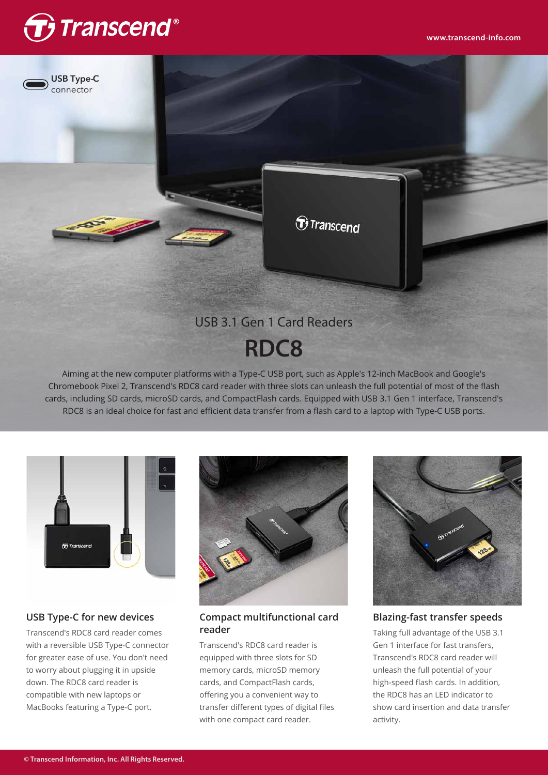



# **RDC8**

Aiming at the new computer platforms with a Type-C USB port, such as Apple's 12-inch MacBook and Google's Chromebook Pixel 2, Transcend's RDC8 card reader with three slots can unleash the full potential of most of the flash cards, including SD cards, microSD cards, and CompactFlash cards. Equipped with USB 3.1 Gen 1 interface, Transcend's RDC8 is an ideal choice for fast and efficient data transfer from a flash card to a laptop with Type-C USB ports.



## **USB Type-C for new devices**

Transcend's RDC8 card reader comes with a reversible USB Type-C connector for greater ease of use. You don't need to worry about plugging it in upside down. The RDC8 card reader is compatible with new laptops or MacBooks featuring a Type-C port.



### **Compact multifunctional card reader**

Transcend's RDC8 card reader is equipped with three slots for SD memory cards, microSD memory cards, and CompactFlash cards, offering you a convenient way to transfer different types of digital files with one compact card reader.



**Blazing-fast transfer speeds**

Taking full advantage of the USB 3.1 Gen 1 interface for fast transfers, Transcend's RDC8 card reader will unleash the full potential of your high-speed flash cards. In addition, the RDC8 has an LED indicator to show card insertion and data transfer activity.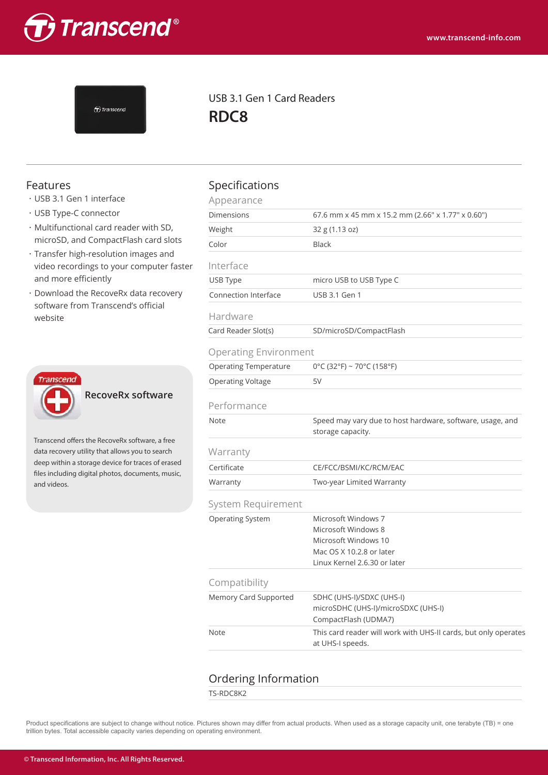



USB 3.1 Gen 1 Card Readers **RDC8**

- ・USB 3.1 Gen 1 interface
- ・USB Type-C connector
- ・Multifunctional card reader with SD, microSD, and CompactFlash card slots
- ・Transfer high-resolution images and video recordings to your computer faster and more efficiently
- ・Download the RecoveRx data recovery software from Transcend's official website



**RecoveRx software**

Transcend offers the RecoveRx software, a free data recovery utility that allows you to search deep within a storage device for traces of erased files including digital photos, documents, music, and videos.

# Features **Specifications**

| <b>Specifications</b>        |                                                                                                                                |  |  |  |  |
|------------------------------|--------------------------------------------------------------------------------------------------------------------------------|--|--|--|--|
| Appearance                   |                                                                                                                                |  |  |  |  |
| <b>Dimensions</b>            | 67.6 mm x 45 mm x 15.2 mm (2.66" x 1.77" x 0.60")                                                                              |  |  |  |  |
| Weight                       | 32 g (1.13 oz)                                                                                                                 |  |  |  |  |
| Color                        | Black                                                                                                                          |  |  |  |  |
| Interface                    |                                                                                                                                |  |  |  |  |
| USB Type                     | micro USB to USB Type C                                                                                                        |  |  |  |  |
| Connection Interface         | USB 3.1 Gen 1                                                                                                                  |  |  |  |  |
| Hardware                     |                                                                                                                                |  |  |  |  |
| Card Reader Slot(s)          | SD/microSD/CompactFlash                                                                                                        |  |  |  |  |
| <b>Operating Environment</b> |                                                                                                                                |  |  |  |  |
| <b>Operating Temperature</b> | $0^{\circ}$ C (32°F) ~ 70°C (158°F)                                                                                            |  |  |  |  |
| Operating Voltage            | 5V                                                                                                                             |  |  |  |  |
| Performance                  |                                                                                                                                |  |  |  |  |
| Note                         | Speed may vary due to host hardware, software, usage, and<br>storage capacity.                                                 |  |  |  |  |
| Warranty                     |                                                                                                                                |  |  |  |  |
| Certificate                  | CE/FCC/BSMI/KC/RCM/EAC                                                                                                         |  |  |  |  |
| Warranty                     | Two-year Limited Warranty                                                                                                      |  |  |  |  |
| System Requirement           |                                                                                                                                |  |  |  |  |
| Operating System             | Microsoft Windows 7<br>Microsoft Windows 8<br>Microsoft Windows 10<br>Mac OS X 10.2.8 or later<br>Linux Kernel 2.6.30 or later |  |  |  |  |
| Compatibility                |                                                                                                                                |  |  |  |  |
| Memory Card Supported        | SDHC (UHS-I)/SDXC (UHS-I)<br>microSDHC (UHS-I)/microSDXC (UHS-I)<br>CompactFlash (UDMA7)                                       |  |  |  |  |
| <b>Note</b>                  | This card reader will work with UHS-II cards, but only operates<br>at UHS-I speeds.                                            |  |  |  |  |

## Ordering Information

TS-RDC8K2

Product specifications are subject to change without notice. Pictures shown may differ from actual products. When used as a storage capacity unit, one terabyte (TB) = one trillion bytes. Total accessible capacity varies depending on operating environment.